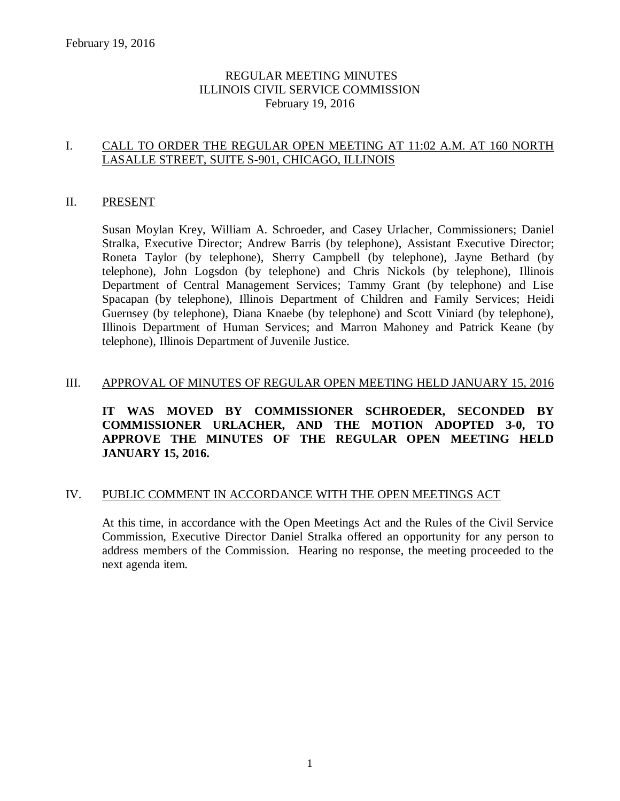# REGULAR MEETING MINUTES ILLINOIS CIVIL SERVICE COMMISSION February 19, 2016

# I. CALL TO ORDER THE REGULAR OPEN MEETING AT 11:02 A.M. AT 160 NORTH LASALLE STREET, SUITE S-901, CHICAGO, ILLINOIS

# II. PRESENT

Susan Moylan Krey, William A. Schroeder, and Casey Urlacher, Commissioners; Daniel Stralka, Executive Director; Andrew Barris (by telephone), Assistant Executive Director; Roneta Taylor (by telephone), Sherry Campbell (by telephone), Jayne Bethard (by telephone), John Logsdon (by telephone) and Chris Nickols (by telephone), Illinois Department of Central Management Services; Tammy Grant (by telephone) and Lise Spacapan (by telephone), Illinois Department of Children and Family Services; Heidi Guernsey (by telephone), Diana Knaebe (by telephone) and Scott Viniard (by telephone), Illinois Department of Human Services; and Marron Mahoney and Patrick Keane (by telephone), Illinois Department of Juvenile Justice.

# III. APPROVAL OF MINUTES OF REGULAR OPEN MEETING HELD JANUARY 15, 2016

**IT WAS MOVED BY COMMISSIONER SCHROEDER, SECONDED BY COMMISSIONER URLACHER, AND THE MOTION ADOPTED 3-0, TO APPROVE THE MINUTES OF THE REGULAR OPEN MEETING HELD JANUARY 15, 2016.** 

### IV. PUBLIC COMMENT IN ACCORDANCE WITH THE OPEN MEETINGS ACT

At this time, in accordance with the Open Meetings Act and the Rules of the Civil Service Commission, Executive Director Daniel Stralka offered an opportunity for any person to address members of the Commission. Hearing no response, the meeting proceeded to the next agenda item.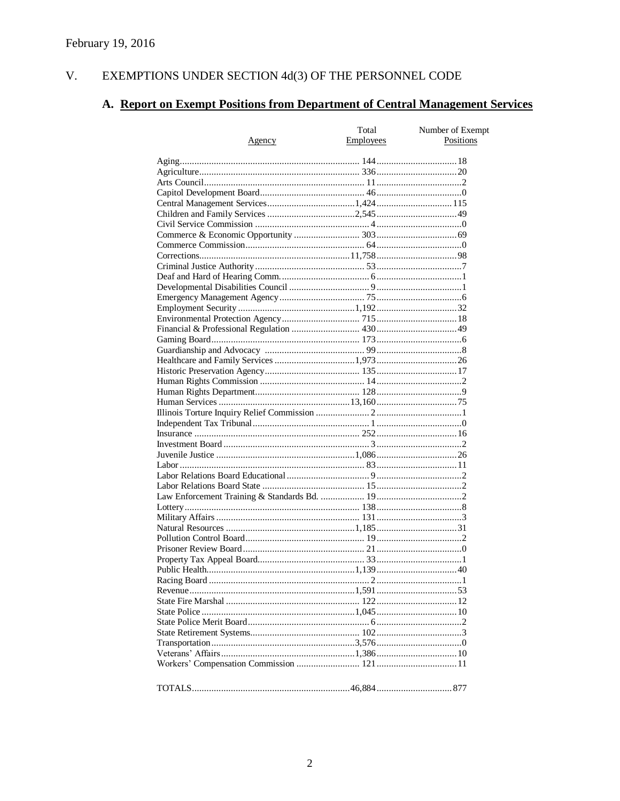#### $V<sub>r</sub>$ EXEMPTIONS UNDER SECTION 4d(3) OF THE PERSONNEL CODE

# A. Report on Exempt Positions from Department of Central Management Services

|               | Total            | Number of Exempt |
|---------------|------------------|------------------|
| <u>Agency</u> | <b>Employees</b> | Positions        |
|               |                  |                  |
|               |                  |                  |
|               |                  |                  |
|               |                  |                  |
|               |                  |                  |
|               |                  |                  |
|               |                  |                  |
|               |                  |                  |
|               |                  |                  |
|               |                  |                  |
|               |                  |                  |
|               |                  |                  |
|               |                  |                  |
|               |                  |                  |
|               |                  |                  |
|               |                  |                  |
|               |                  |                  |
|               |                  |                  |
|               |                  |                  |
|               |                  |                  |
|               |                  |                  |
|               |                  |                  |
|               |                  |                  |
|               |                  |                  |
|               |                  |                  |
|               |                  |                  |
|               |                  |                  |
|               |                  |                  |
|               |                  |                  |
|               |                  |                  |
|               |                  |                  |
|               |                  |                  |
|               |                  |                  |
|               |                  |                  |
|               |                  |                  |
|               |                  |                  |
|               |                  |                  |
|               |                  |                  |
|               |                  |                  |
|               |                  |                  |
|               |                  |                  |
|               |                  |                  |
|               |                  |                  |
|               |                  |                  |
|               |                  |                  |
|               |                  |                  |
|               |                  |                  |
|               |                  |                  |
|               |                  |                  |
|               |                  |                  |
|               |                  |                  |
|               |                  |                  |
|               |                  |                  |
|               |                  |                  |
|               |                  |                  |
|               |                  |                  |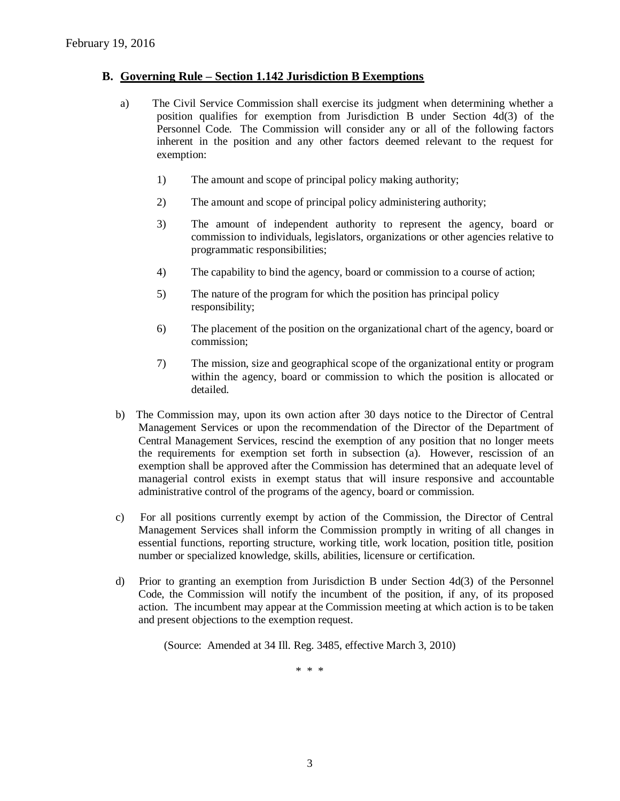### **B. Governing Rule – Section 1.142 Jurisdiction B Exemptions**

- a) The Civil Service Commission shall exercise its judgment when determining whether a position qualifies for exemption from Jurisdiction B under Section 4d(3) of the Personnel Code. The Commission will consider any or all of the following factors inherent in the position and any other factors deemed relevant to the request for exemption:
	- 1) The amount and scope of principal policy making authority;
	- 2) The amount and scope of principal policy administering authority;
	- 3) The amount of independent authority to represent the agency, board or commission to individuals, legislators, organizations or other agencies relative to programmatic responsibilities;
	- 4) The capability to bind the agency, board or commission to a course of action;
	- 5) The nature of the program for which the position has principal policy responsibility;
	- 6) The placement of the position on the organizational chart of the agency, board or commission;
	- 7) The mission, size and geographical scope of the organizational entity or program within the agency, board or commission to which the position is allocated or detailed.
- b) The Commission may, upon its own action after 30 days notice to the Director of Central Management Services or upon the recommendation of the Director of the Department of Central Management Services, rescind the exemption of any position that no longer meets the requirements for exemption set forth in subsection (a). However, rescission of an exemption shall be approved after the Commission has determined that an adequate level of managerial control exists in exempt status that will insure responsive and accountable administrative control of the programs of the agency, board or commission.
- c) For all positions currently exempt by action of the Commission, the Director of Central Management Services shall inform the Commission promptly in writing of all changes in essential functions, reporting structure, working title, work location, position title, position number or specialized knowledge, skills, abilities, licensure or certification.
- d) Prior to granting an exemption from Jurisdiction B under Section 4d(3) of the Personnel Code, the Commission will notify the incumbent of the position, if any, of its proposed action. The incumbent may appear at the Commission meeting at which action is to be taken and present objections to the exemption request.

(Source: Amended at 34 Ill. Reg. 3485, effective March 3, 2010)

\* \* \*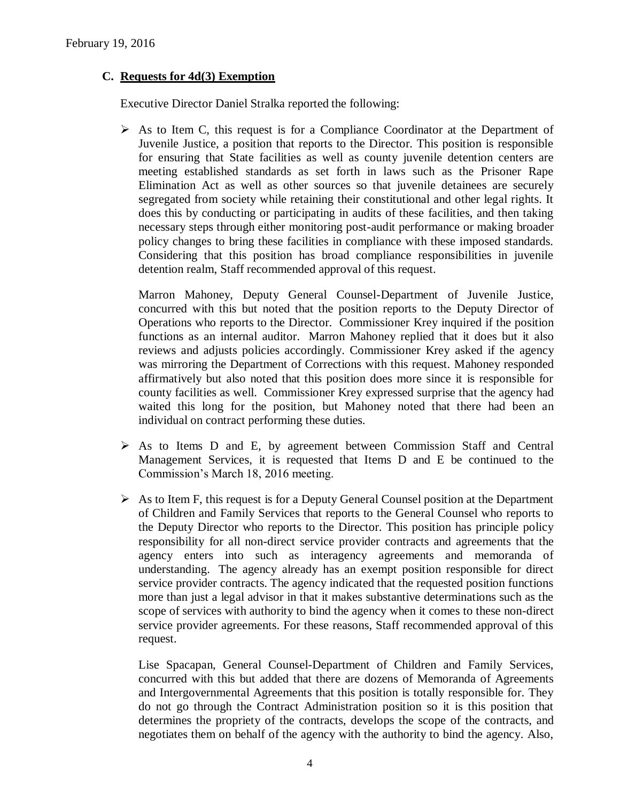# **C. Requests for 4d(3) Exemption**

Executive Director Daniel Stralka reported the following:

 $\triangleright$  As to Item C, this request is for a Compliance Coordinator at the Department of Juvenile Justice, a position that reports to the Director. This position is responsible for ensuring that State facilities as well as county juvenile detention centers are meeting established standards as set forth in laws such as the Prisoner Rape Elimination Act as well as other sources so that juvenile detainees are securely segregated from society while retaining their constitutional and other legal rights. It does this by conducting or participating in audits of these facilities, and then taking necessary steps through either monitoring post-audit performance or making broader policy changes to bring these facilities in compliance with these imposed standards. Considering that this position has broad compliance responsibilities in juvenile detention realm, Staff recommended approval of this request.

Marron Mahoney, Deputy General Counsel-Department of Juvenile Justice, concurred with this but noted that the position reports to the Deputy Director of Operations who reports to the Director. Commissioner Krey inquired if the position functions as an internal auditor. Marron Mahoney replied that it does but it also reviews and adjusts policies accordingly. Commissioner Krey asked if the agency was mirroring the Department of Corrections with this request. Mahoney responded affirmatively but also noted that this position does more since it is responsible for county facilities as well. Commissioner Krey expressed surprise that the agency had waited this long for the position, but Mahoney noted that there had been an individual on contract performing these duties.

- $\triangleright$  As to Items D and E, by agreement between Commission Staff and Central Management Services, it is requested that Items D and E be continued to the Commission's March 18, 2016 meeting.
- $\triangleright$  As to Item F, this request is for a Deputy General Counsel position at the Department of Children and Family Services that reports to the General Counsel who reports to the Deputy Director who reports to the Director. This position has principle policy responsibility for all non-direct service provider contracts and agreements that the agency enters into such as interagency agreements and memoranda of understanding. The agency already has an exempt position responsible for direct service provider contracts. The agency indicated that the requested position functions more than just a legal advisor in that it makes substantive determinations such as the scope of services with authority to bind the agency when it comes to these non-direct service provider agreements. For these reasons, Staff recommended approval of this request.

Lise Spacapan, General Counsel-Department of Children and Family Services, concurred with this but added that there are dozens of Memoranda of Agreements and Intergovernmental Agreements that this position is totally responsible for. They do not go through the Contract Administration position so it is this position that determines the propriety of the contracts, develops the scope of the contracts, and negotiates them on behalf of the agency with the authority to bind the agency. Also,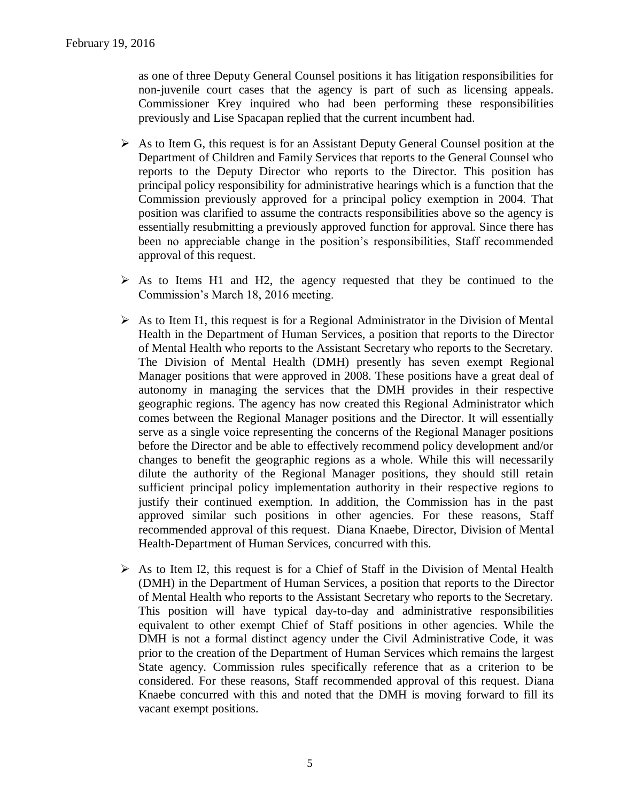as one of three Deputy General Counsel positions it has litigation responsibilities for non-juvenile court cases that the agency is part of such as licensing appeals. Commissioner Krey inquired who had been performing these responsibilities previously and Lise Spacapan replied that the current incumbent had.

- $\triangleright$  As to Item G, this request is for an Assistant Deputy General Counsel position at the Department of Children and Family Services that reports to the General Counsel who reports to the Deputy Director who reports to the Director. This position has principal policy responsibility for administrative hearings which is a function that the Commission previously approved for a principal policy exemption in 2004. That position was clarified to assume the contracts responsibilities above so the agency is essentially resubmitting a previously approved function for approval. Since there has been no appreciable change in the position's responsibilities, Staff recommended approval of this request.
- $\triangleright$  As to Items H1 and H2, the agency requested that they be continued to the Commission's March 18, 2016 meeting.
- $\triangleright$  As to Item I1, this request is for a Regional Administrator in the Division of Mental Health in the Department of Human Services, a position that reports to the Director of Mental Health who reports to the Assistant Secretary who reports to the Secretary. The Division of Mental Health (DMH) presently has seven exempt Regional Manager positions that were approved in 2008. These positions have a great deal of autonomy in managing the services that the DMH provides in their respective geographic regions. The agency has now created this Regional Administrator which comes between the Regional Manager positions and the Director. It will essentially serve as a single voice representing the concerns of the Regional Manager positions before the Director and be able to effectively recommend policy development and/or changes to benefit the geographic regions as a whole. While this will necessarily dilute the authority of the Regional Manager positions, they should still retain sufficient principal policy implementation authority in their respective regions to justify their continued exemption. In addition, the Commission has in the past approved similar such positions in other agencies. For these reasons, Staff recommended approval of this request. Diana Knaebe, Director, Division of Mental Health-Department of Human Services, concurred with this.
- $\triangleright$  As to Item I2, this request is for a Chief of Staff in the Division of Mental Health (DMH) in the Department of Human Services, a position that reports to the Director of Mental Health who reports to the Assistant Secretary who reports to the Secretary. This position will have typical day-to-day and administrative responsibilities equivalent to other exempt Chief of Staff positions in other agencies. While the DMH is not a formal distinct agency under the Civil Administrative Code, it was prior to the creation of the Department of Human Services which remains the largest State agency. Commission rules specifically reference that as a criterion to be considered. For these reasons, Staff recommended approval of this request. Diana Knaebe concurred with this and noted that the DMH is moving forward to fill its vacant exempt positions.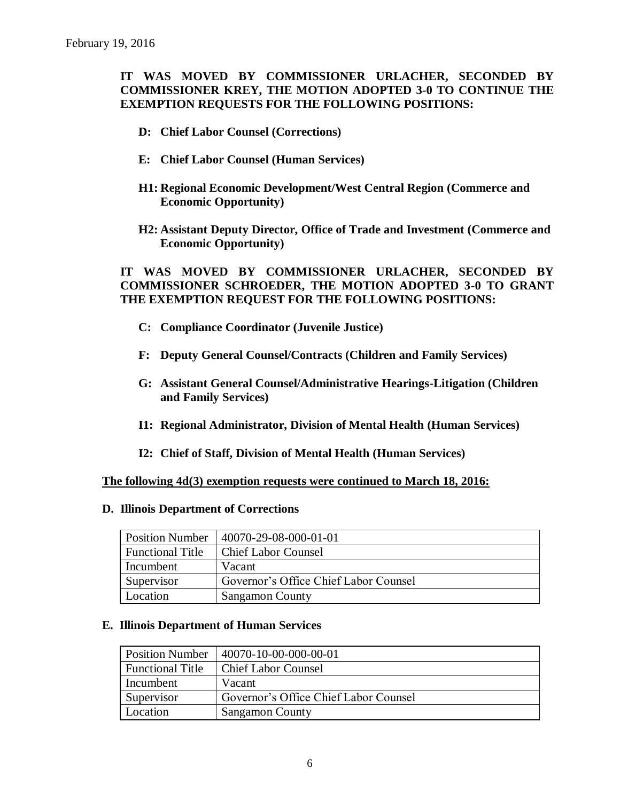# **IT WAS MOVED BY COMMISSIONER URLACHER, SECONDED BY COMMISSIONER KREY, THE MOTION ADOPTED 3-0 TO CONTINUE THE EXEMPTION REQUESTS FOR THE FOLLOWING POSITIONS:**

- **D: Chief Labor Counsel (Corrections)**
- **E: Chief Labor Counsel (Human Services)**
- **H1: Regional Economic Development/West Central Region (Commerce and Economic Opportunity)**
- **H2: Assistant Deputy Director, Office of Trade and Investment (Commerce and Economic Opportunity)**

# **IT WAS MOVED BY COMMISSIONER URLACHER, SECONDED BY COMMISSIONER SCHROEDER, THE MOTION ADOPTED 3-0 TO GRANT THE EXEMPTION REQUEST FOR THE FOLLOWING POSITIONS:**

- **C: Compliance Coordinator (Juvenile Justice)**
- **F: Deputy General Counsel/Contracts (Children and Family Services)**
- **G: Assistant General Counsel/Administrative Hearings-Litigation (Children and Family Services)**
- **I1: Regional Administrator, Division of Mental Health (Human Services)**
- **I2: Chief of Staff, Division of Mental Health (Human Services)**

**The following 4d(3) exemption requests were continued to March 18, 2016:**

#### **D. Illinois Department of Corrections**

| <b>Position Number</b>  | $ 40070-29-08-000-01-01$              |
|-------------------------|---------------------------------------|
| <b>Functional Title</b> | <b>Chief Labor Counsel</b>            |
| Incumbent               | Vacant                                |
| Supervisor              | Governor's Office Chief Labor Counsel |
| Location                | <b>Sangamon County</b>                |

#### **E. Illinois Department of Human Services**

| <b>Position Number</b>  | 40070-10-00-000-00-01                 |
|-------------------------|---------------------------------------|
| <b>Functional Title</b> | <b>Chief Labor Counsel</b>            |
| Incumbent               | Vacant                                |
| Supervisor              | Governor's Office Chief Labor Counsel |
| Location                | <b>Sangamon County</b>                |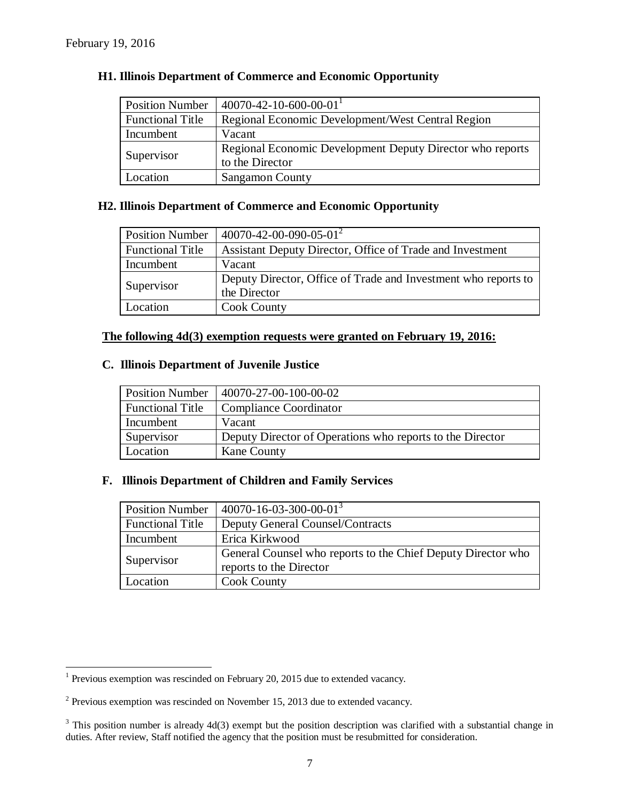$\overline{a}$ 

| <b>Position Number</b>  | $40070 - 42 - 10 - 600 - 00 - 01$                         |
|-------------------------|-----------------------------------------------------------|
| <b>Functional Title</b> | Regional Economic Development/West Central Region         |
| Incumbent               | Vacant                                                    |
|                         | Regional Economic Development Deputy Director who reports |
| Supervisor              | to the Director                                           |
| Location                | <b>Sangamon County</b>                                    |

### **H1. Illinois Department of Commerce and Economic Opportunity**

# **H2. Illinois Department of Commerce and Economic Opportunity**

| <b>Position Number</b>  | $40070 - 42 - 00 - 090 - 05 - 01^2$                            |
|-------------------------|----------------------------------------------------------------|
| <b>Functional Title</b> | Assistant Deputy Director, Office of Trade and Investment      |
| Incumbent               | Vacant                                                         |
| Supervisor              | Deputy Director, Office of Trade and Investment who reports to |
|                         | the Director                                                   |
| Location                | <b>Cook County</b>                                             |

### **The following 4d(3) exemption requests were granted on February 19, 2016:**

### **C. Illinois Department of Juvenile Justice**

|                         | Position Number   40070-27-00-100-00-02                   |
|-------------------------|-----------------------------------------------------------|
| <b>Functional Title</b> | Compliance Coordinator                                    |
| Incumbent               | Vacant                                                    |
| Supervisor              | Deputy Director of Operations who reports to the Director |
| Location                | <b>Kane County</b>                                        |

### **F. Illinois Department of Children and Family Services**

| <b>Position Number</b>  | $40070 - 16 - 03 - 300 - 00 - 01^{3}$                                                   |
|-------------------------|-----------------------------------------------------------------------------------------|
| <b>Functional Title</b> | <b>Deputy General Counsel/Contracts</b>                                                 |
| Incumbent               | Erica Kirkwood                                                                          |
| Supervisor              | General Counsel who reports to the Chief Deputy Director who<br>reports to the Director |
| Location                | <b>Cook County</b>                                                                      |

<sup>&</sup>lt;sup>1</sup> Previous exemption was rescinded on February 20, 2015 due to extended vacancy.

 $2$  Previous exemption was rescinded on November 15, 2013 due to extended vacancy.

 $3$  This position number is already 4d(3) exempt but the position description was clarified with a substantial change in duties. After review, Staff notified the agency that the position must be resubmitted for consideration.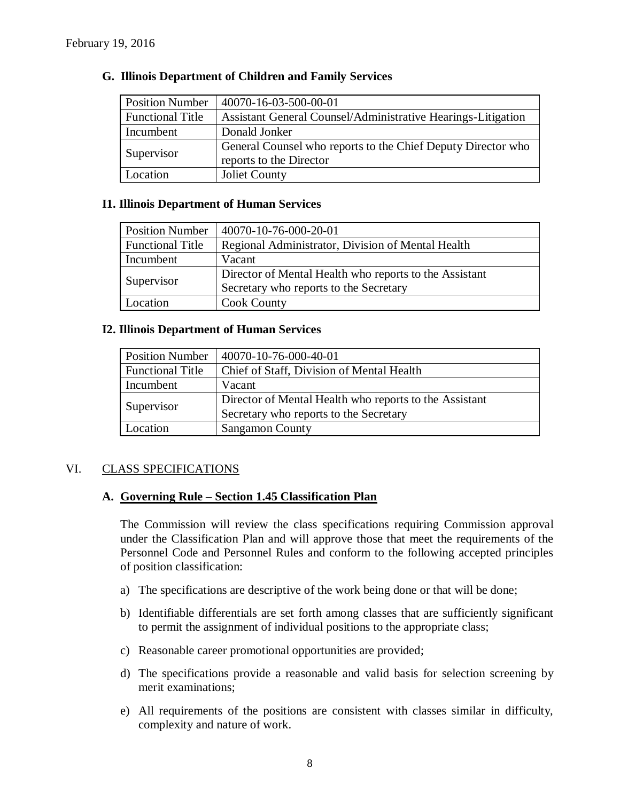| <b>Position Number</b>  | 40070-16-03-500-00-01                                        |
|-------------------------|--------------------------------------------------------------|
| <b>Functional Title</b> | Assistant General Counsel/Administrative Hearings-Litigation |
| Incumbent               | Donald Jonker                                                |
| Supervisor              | General Counsel who reports to the Chief Deputy Director who |
|                         | reports to the Director                                      |
| Location                | Joliet County                                                |

### **G. Illinois Department of Children and Family Services**

### **I1. Illinois Department of Human Services**

| <b>Position Number</b>  | $ 40070-10-76-000-20-01$                               |
|-------------------------|--------------------------------------------------------|
| <b>Functional Title</b> | Regional Administrator, Division of Mental Health      |
| Incumbent               | Vacant                                                 |
| Supervisor              | Director of Mental Health who reports to the Assistant |
|                         | Secretary who reports to the Secretary                 |
| Location                | <b>Cook County</b>                                     |

### **I2. Illinois Department of Human Services**

| <b>Position Number</b>  | 40070-10-76-000-40-01                                  |
|-------------------------|--------------------------------------------------------|
| <b>Functional Title</b> | Chief of Staff, Division of Mental Health              |
| Incumbent               | Vacant                                                 |
| Supervisor              | Director of Mental Health who reports to the Assistant |
|                         | Secretary who reports to the Secretary                 |
| Location                | <b>Sangamon County</b>                                 |

### VI. CLASS SPECIFICATIONS

### **A. Governing Rule – Section 1.45 Classification Plan**

The Commission will review the class specifications requiring Commission approval under the Classification Plan and will approve those that meet the requirements of the Personnel Code and Personnel Rules and conform to the following accepted principles of position classification:

- a) The specifications are descriptive of the work being done or that will be done;
- b) Identifiable differentials are set forth among classes that are sufficiently significant to permit the assignment of individual positions to the appropriate class;
- c) Reasonable career promotional opportunities are provided;
- d) The specifications provide a reasonable and valid basis for selection screening by merit examinations;
- e) All requirements of the positions are consistent with classes similar in difficulty, complexity and nature of work.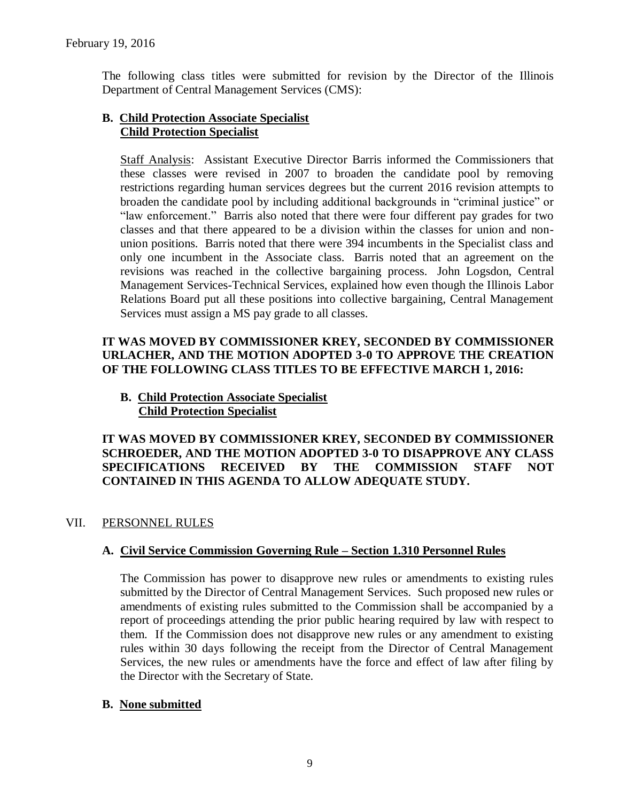The following class titles were submitted for revision by the Director of the Illinois Department of Central Management Services (CMS):

# **B. Child Protection Associate Specialist Child Protection Specialist**

Staff Analysis: Assistant Executive Director Barris informed the Commissioners that these classes were revised in 2007 to broaden the candidate pool by removing restrictions regarding human services degrees but the current 2016 revision attempts to broaden the candidate pool by including additional backgrounds in "criminal justice" or "law enforcement." Barris also noted that there were four different pay grades for two classes and that there appeared to be a division within the classes for union and nonunion positions. Barris noted that there were 394 incumbents in the Specialist class and only one incumbent in the Associate class. Barris noted that an agreement on the revisions was reached in the collective bargaining process. John Logsdon, Central Management Services-Technical Services, explained how even though the Illinois Labor Relations Board put all these positions into collective bargaining, Central Management Services must assign a MS pay grade to all classes.

# **IT WAS MOVED BY COMMISSIONER KREY, SECONDED BY COMMISSIONER URLACHER, AND THE MOTION ADOPTED 3-0 TO APPROVE THE CREATION OF THE FOLLOWING CLASS TITLES TO BE EFFECTIVE MARCH 1, 2016:**

**B. Child Protection Associate Specialist Child Protection Specialist**

**IT WAS MOVED BY COMMISSIONER KREY, SECONDED BY COMMISSIONER SCHROEDER, AND THE MOTION ADOPTED 3-0 TO DISAPPROVE ANY CLASS SPECIFICATIONS RECEIVED BY THE COMMISSION STAFF NOT CONTAINED IN THIS AGENDA TO ALLOW ADEQUATE STUDY.** 

# VII. PERSONNEL RULES

# **A. Civil Service Commission Governing Rule – Section 1.310 Personnel Rules**

The Commission has power to disapprove new rules or amendments to existing rules submitted by the Director of Central Management Services. Such proposed new rules or amendments of existing rules submitted to the Commission shall be accompanied by a report of proceedings attending the prior public hearing required by law with respect to them. If the Commission does not disapprove new rules or any amendment to existing rules within 30 days following the receipt from the Director of Central Management Services, the new rules or amendments have the force and effect of law after filing by the Director with the Secretary of State.

# **B. None submitted**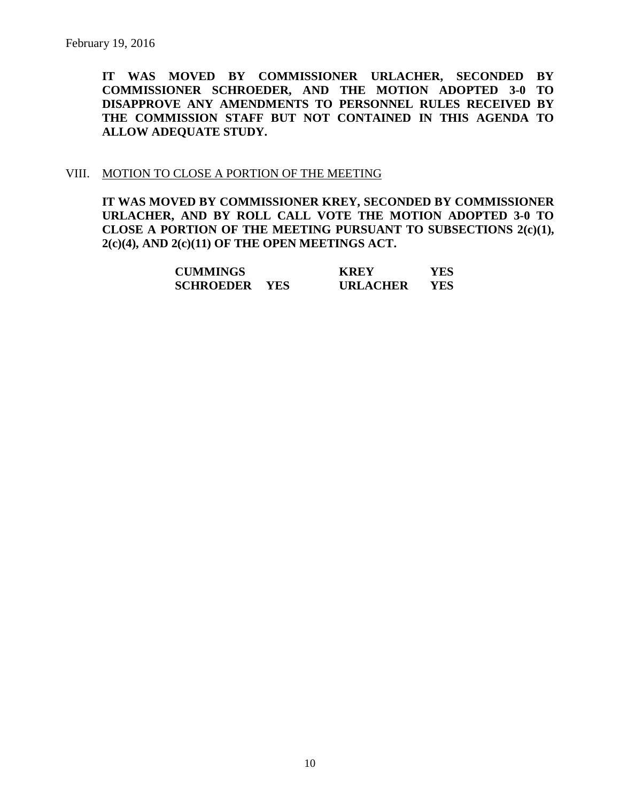**IT WAS MOVED BY COMMISSIONER URLACHER, SECONDED BY COMMISSIONER SCHROEDER, AND THE MOTION ADOPTED 3-0 TO DISAPPROVE ANY AMENDMENTS TO PERSONNEL RULES RECEIVED BY THE COMMISSION STAFF BUT NOT CONTAINED IN THIS AGENDA TO ALLOW ADEQUATE STUDY.** 

### VIII. MOTION TO CLOSE A PORTION OF THE MEETING

**IT WAS MOVED BY COMMISSIONER KREY, SECONDED BY COMMISSIONER URLACHER, AND BY ROLL CALL VOTE THE MOTION ADOPTED 3-0 TO CLOSE A PORTION OF THE MEETING PURSUANT TO SUBSECTIONS 2(c)(1), 2(c)(4), AND 2(c)(11) OF THE OPEN MEETINGS ACT.**

| <b>CUMMINGS</b>  |            | <b>KREY</b>     | YES |
|------------------|------------|-----------------|-----|
| <b>SCHROEDER</b> | <b>YES</b> | <b>URLACHER</b> | YES |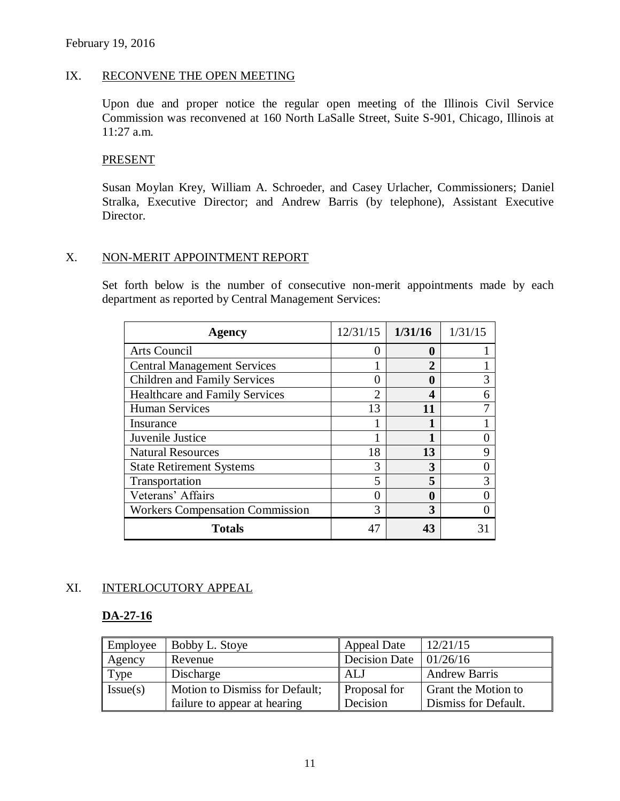### IX. RECONVENE THE OPEN MEETING

Upon due and proper notice the regular open meeting of the Illinois Civil Service Commission was reconvened at 160 North LaSalle Street, Suite S-901, Chicago, Illinois at 11:27 a.m.

### **PRESENT**

Susan Moylan Krey, William A. Schroeder, and Casey Urlacher, Commissioners; Daniel Stralka, Executive Director; and Andrew Barris (by telephone), Assistant Executive Director.

### X. NON-MERIT APPOINTMENT REPORT

Set forth below is the number of consecutive non-merit appointments made by each department as reported by Central Management Services:

| Agency                                 | 12/31/15                    | 1/31/16 | 1/31/15 |
|----------------------------------------|-----------------------------|---------|---------|
| Arts Council                           | $\mathbf{\Omega}$           | 0       |         |
| <b>Central Management Services</b>     |                             | 2       |         |
| <b>Children and Family Services</b>    |                             | 0       | 3       |
| <b>Healthcare and Family Services</b>  | $\mathcal{D}_{\mathcal{A}}$ | Δ       | 6       |
| <b>Human Services</b>                  | 13                          | 11      |         |
| Insurance                              |                             |         |         |
| Juvenile Justice                       |                             |         |         |
| <b>Natural Resources</b>               | 18                          | 13      | q       |
| <b>State Retirement Systems</b>        | 3                           | 3       |         |
| Transportation                         | 5                           | 5       | 3       |
| Veterans' Affairs                      |                             | 0       |         |
| <b>Workers Compensation Commission</b> | 3                           | 3       |         |
| <b>Totals</b>                          | 47                          |         |         |

# XI. INTERLOCUTORY APPEAL

### **DA-27-16**

| Employee | Bobby L. Stoye                 | <b>Appeal Date</b>                   | 12/21/15                   |
|----------|--------------------------------|--------------------------------------|----------------------------|
| Agency   | Revenue                        | Decision Date $\vert 01/26/16 \vert$ |                            |
| Type     | Discharge                      | ALJ                                  | <b>Andrew Barris</b>       |
| Issue(s) | Motion to Dismiss for Default; | Proposal for                         | <b>Grant the Motion to</b> |
|          | failure to appear at hearing   | Decision                             | Dismiss for Default.       |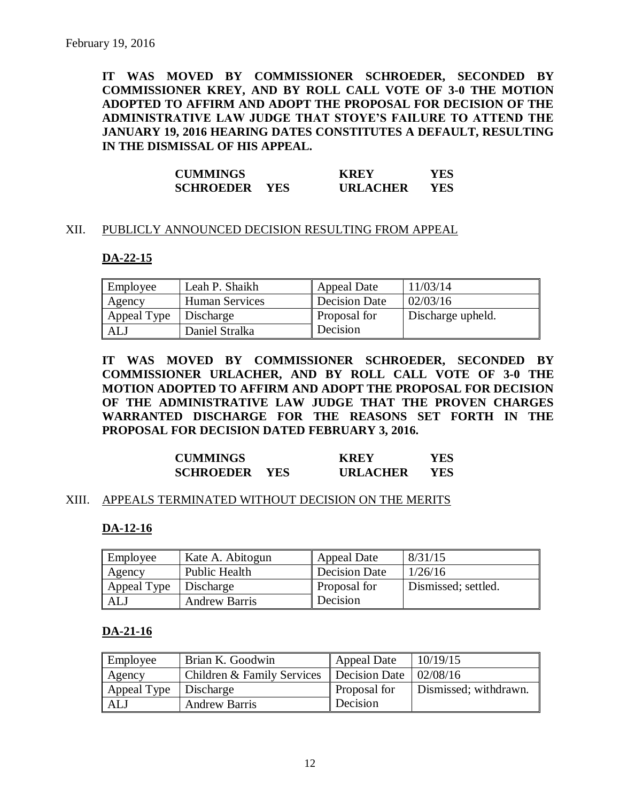**IT WAS MOVED BY COMMISSIONER SCHROEDER, SECONDED BY COMMISSIONER KREY, AND BY ROLL CALL VOTE OF 3-0 THE MOTION ADOPTED TO AFFIRM AND ADOPT THE PROPOSAL FOR DECISION OF THE ADMINISTRATIVE LAW JUDGE THAT STOYE'S FAILURE TO ATTEND THE JANUARY 19, 2016 HEARING DATES CONSTITUTES A DEFAULT, RESULTING IN THE DISMISSAL OF HIS APPEAL.**

| <b>CUMMINGS</b>      | <b>KREY</b>     | YES  |
|----------------------|-----------------|------|
| <b>SCHROEDER YES</b> | <b>URLACHER</b> | YES. |

### XII. PUBLICLY ANNOUNCED DECISION RESULTING FROM APPEAL

### **DA-22-15**

| Employee    | Leah P. Shaikh        | Appeal Date         | 11/03/14          |
|-------------|-----------------------|---------------------|-------------------|
| Agency      | <b>Human Services</b> | Decision Date       | 02/03/16          |
| Appeal Type | Discharge             | <b>Proposal for</b> | Discharge upheld. |
| ALJ         | Daniel Stralka        | Decision            |                   |

**IT WAS MOVED BY COMMISSIONER SCHROEDER, SECONDED BY COMMISSIONER URLACHER, AND BY ROLL CALL VOTE OF 3-0 THE MOTION ADOPTED TO AFFIRM AND ADOPT THE PROPOSAL FOR DECISION OF THE ADMINISTRATIVE LAW JUDGE THAT THE PROVEN CHARGES WARRANTED DISCHARGE FOR THE REASONS SET FORTH IN THE PROPOSAL FOR DECISION DATED FEBRUARY 3, 2016.**

| <b>CUMMINGS</b>  |            | <b>KREY</b>     | YES |
|------------------|------------|-----------------|-----|
| <b>SCHROEDER</b> | <b>YES</b> | <b>URLACHER</b> | YES |

### XIII. APPEALS TERMINATED WITHOUT DECISION ON THE MERITS

### **DA-12-16**

| Employee    | Kate A. Abitogun     | Appeal Date   | 8/31/15             |
|-------------|----------------------|---------------|---------------------|
| Agency      | Public Health        | Decision Date | 1/26/16             |
| Appeal Type | Discharge            | Proposal for  | Dismissed; settled. |
| ALJ         | <b>Andrew Barris</b> | l Decision    |                     |

### **DA-21-16**

| Employee    | Brian K. Goodwin           | Appeal Date                          | 10/19/15              |
|-------------|----------------------------|--------------------------------------|-----------------------|
| Agency      | Children & Family Services | Decision Date $\vert 02/08/16 \vert$ |                       |
| Appeal Type | Discharge                  | <b>Proposal for</b>                  | Dismissed; withdrawn. |
| ALJ         | <b>Andrew Barris</b>       | Decision                             |                       |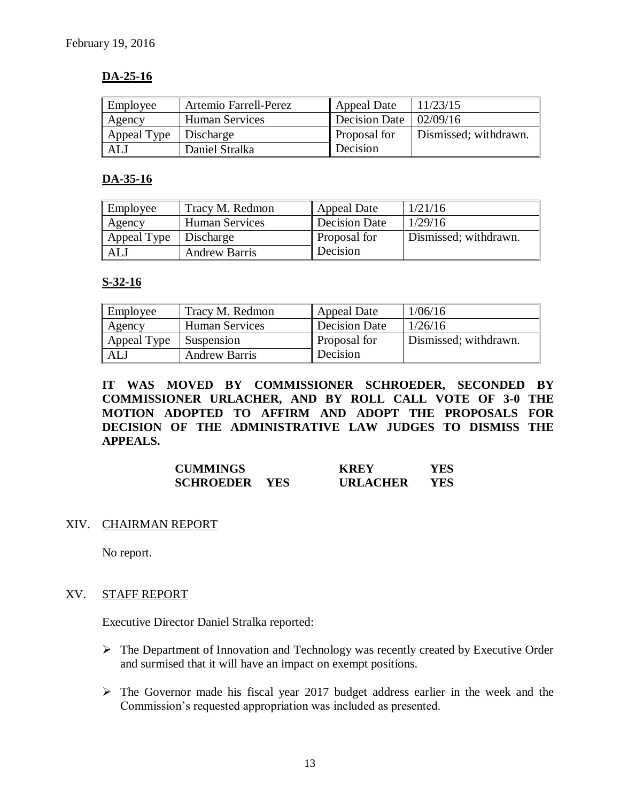# **DA-25-16**

| Employee    | Artemio Farrell-Perez | Appeal Date                          | 11/23/15              |
|-------------|-----------------------|--------------------------------------|-----------------------|
| Agency      | <b>Human Services</b> | Decision Date $\vert 02/09/16 \vert$ |                       |
| Appeal Type | Discharge             | <b>Proposal</b> for                  | Dismissed; withdrawn. |
| <b>ALJ</b>  | Daniel Stralka        | Decision                             |                       |

### **DA-35-16**

| Employee    | Tracy M. Redmon       | Appeal Date         | 1/21/16               |
|-------------|-----------------------|---------------------|-----------------------|
| Agency      | <b>Human Services</b> | Decision Date       | 1/29/16               |
| Appeal Type | Discharge             | <b>Proposal for</b> | Dismissed; withdrawn. |
| <b>ALJ</b>  | <b>Andrew Barris</b>  | Decision            |                       |

# **S-32-16**

| Employee    | Tracy M. Redmon       | Appeal Date   | 1/06/16               |
|-------------|-----------------------|---------------|-----------------------|
| Agency      | <b>Human Services</b> | Decision Date | 1/26/16               |
| Appeal Type | Suspension            | Proposal for  | Dismissed; withdrawn. |
| ALJ         | <b>Andrew Barris</b>  | Decision      |                       |

**IT WAS MOVED BY COMMISSIONER SCHROEDER, SECONDED BY COMMISSIONER URLACHER, AND BY ROLL CALL VOTE OF 3-0 THE MOTION ADOPTED TO AFFIRM AND ADOPT THE PROPOSALS FOR DECISION OF THE ADMINISTRATIVE LAW JUDGES TO DISMISS THE APPEALS.** 

| <b>CUMMINGS</b>  |            | <b>KREY</b>     | YES |
|------------------|------------|-----------------|-----|
| <b>SCHROEDER</b> | <b>YES</b> | <b>URLACHER</b> | YES |

### XIV. CHAIRMAN REPORT

No report.

### XV. STAFF REPORT

Executive Director Daniel Stralka reported:

- $\triangleright$  The Department of Innovation and Technology was recently created by Executive Order and surmised that it will have an impact on exempt positions.
- $\triangleright$  The Governor made his fiscal year 2017 budget address earlier in the week and the Commission's requested appropriation was included as presented.